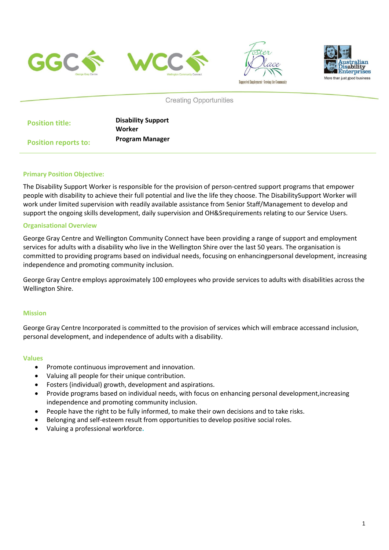







**Creating Opportunities** 

| <b>Position title:</b>      | <b>Disability Support</b> |
|-----------------------------|---------------------------|
|                             | Worker                    |
| <b>Position reports to:</b> | <b>Program Manager</b>    |

### **Primary Position Objective:**

The Disability Support Worker is responsible for the provision of person-centred support programs that empower people with disability to achieve their full potential and live the life they choose. The DisabilitySupport Worker will work under limited supervision with readily available assistance from Senior Staff/Management to develop and support the ongoing skills development, daily supervision and OH&Srequirements relating to our Service Users.

### **Organisational Overview**

George Gray Centre and Wellington Community Connect have been providing a range of support and employment services for adults with a disability who live in the Wellington Shire over the last 50 years. The organisation is committed to providing programs based on individual needs, focusing on enhancingpersonal development, increasing independence and promoting community inclusion.

George Gray Centre employs approximately 100 employees who provide services to adults with disabilities across the Wellington Shire.

#### **Mission**

George Gray Centre Incorporated is committed to the provision of services which will embrace accessand inclusion, personal development, and independence of adults with a disability.

#### **Values**

- Promote continuous improvement and innovation.
- Valuing all people for their unique contribution.
- Fosters (individual) growth, development and aspirations.
- Provide programs based on individual needs, with focus on enhancing personal development,increasing independence and promoting community inclusion.
- People have the right to be fully informed, to make their own decisions and to take risks.
- Belonging and self-esteem result from opportunities to develop positive social roles.
- Valuing a professional workforce**.**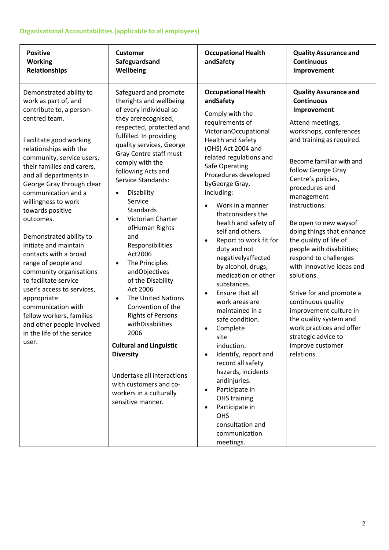# **Organisational Accountabilities (applicable to all employees)**

| <b>Positive</b><br><b>Working</b><br>Relationships                                                                                                                                                                                                                                                                                                                                                                                                                                                                                                                                                                                                                            | <b>Customer</b><br>Safeguardsand<br>Wellbeing                                                                                                                                                                                                                                                                                                                                                                                                                                                                                                                                                                                                                                                                                                                                                           | <b>Occupational Health</b><br>andSafety                                                                                                                                                                                                                                                                                                                                                                                                                                                                                                                                                                                                                                                                                                                                                                                                                       | <b>Quality Assurance and</b><br><b>Continuous</b><br>Improvement                                                                                                                                                                                                                                                                                                                                                                                                                                                                                                                                                                                 |
|-------------------------------------------------------------------------------------------------------------------------------------------------------------------------------------------------------------------------------------------------------------------------------------------------------------------------------------------------------------------------------------------------------------------------------------------------------------------------------------------------------------------------------------------------------------------------------------------------------------------------------------------------------------------------------|---------------------------------------------------------------------------------------------------------------------------------------------------------------------------------------------------------------------------------------------------------------------------------------------------------------------------------------------------------------------------------------------------------------------------------------------------------------------------------------------------------------------------------------------------------------------------------------------------------------------------------------------------------------------------------------------------------------------------------------------------------------------------------------------------------|---------------------------------------------------------------------------------------------------------------------------------------------------------------------------------------------------------------------------------------------------------------------------------------------------------------------------------------------------------------------------------------------------------------------------------------------------------------------------------------------------------------------------------------------------------------------------------------------------------------------------------------------------------------------------------------------------------------------------------------------------------------------------------------------------------------------------------------------------------------|--------------------------------------------------------------------------------------------------------------------------------------------------------------------------------------------------------------------------------------------------------------------------------------------------------------------------------------------------------------------------------------------------------------------------------------------------------------------------------------------------------------------------------------------------------------------------------------------------------------------------------------------------|
| Demonstrated ability to<br>work as part of, and<br>contribute to, a person-<br>centred team.<br>Facilitate good working<br>relationships with the<br>community, service users,<br>their families and carers,<br>and all departments in<br>George Gray through clear<br>communication and a<br>willingness to work<br>towards positive<br>outcomes.<br>Demonstrated ability to<br>initiate and maintain<br>contacts with a broad<br>range of people and<br>community organisations<br>to facilitate service<br>user's access to services,<br>appropriate<br>communication with<br>fellow workers, families<br>and other people involved<br>in the life of the service<br>user. | Safeguard and promote<br>therights and wellbeing<br>of every individual so<br>they arerecognised,<br>respected, protected and<br>fulfilled. In providing<br>quality services, George<br>Gray Centre staff must<br>comply with the<br>following Acts and<br>Service Standards:<br>Disability<br>$\bullet$<br>Service<br><b>Standards</b><br>Victorian Charter<br>$\bullet$<br>ofHuman Rights<br>and<br>Responsibilities<br>Act2006<br>The Principles<br>$\bullet$<br>andObjectives<br>of the Disability<br>Act 2006<br><b>The United Nations</b><br>$\bullet$<br>Convention of the<br><b>Rights of Persons</b><br>withDisabilities<br>2006<br><b>Cultural and Linguistic</b><br><b>Diversity</b><br>Undertake all interactions<br>with customers and co-<br>workers in a culturally<br>sensitive manner. | <b>Occupational Health</b><br>andSafety<br>Comply with the<br>requirements of<br>VictorianOccupational<br><b>Health and Safety</b><br>(OHS) Act 2004 and<br>related regulations and<br>Safe Operating<br>Procedures developed<br>byGeorge Gray,<br>including:<br>Work in a manner<br>thatconsiders the<br>health and safety of<br>self and others.<br>Report to work fit for<br>$\bullet$<br>duty and not<br>negativelyaffected<br>by alcohol, drugs,<br>medication or other<br>substances.<br>Ensure that all<br>$\bullet$<br>work areas are<br>maintained in a<br>safe condition.<br>Complete<br>site<br>induction.<br>Identify, report and<br>$\bullet$<br>record all safety<br>hazards, incidents<br>andinjuries.<br>Participate in<br>$\bullet$<br><b>OHS</b> training<br>Participate in<br><b>OHS</b><br>consultation and<br>communication<br>meetings. | <b>Quality Assurance and</b><br><b>Continuous</b><br>Improvement<br>Attend meetings,<br>workshops, conferences<br>and training as required.<br>Become familiar with and<br>follow George Gray<br>Centre's policies,<br>procedures and<br>management<br>instructions.<br>Be open to new waysof<br>doing things that enhance<br>the quality of life of<br>people with disabilities;<br>respond to challenges<br>with innovative ideas and<br>solutions.<br>Strive for and promote a<br>continuous quality<br>improvement culture in<br>the quality system and<br>work practices and offer<br>strategic advice to<br>improve customer<br>relations. |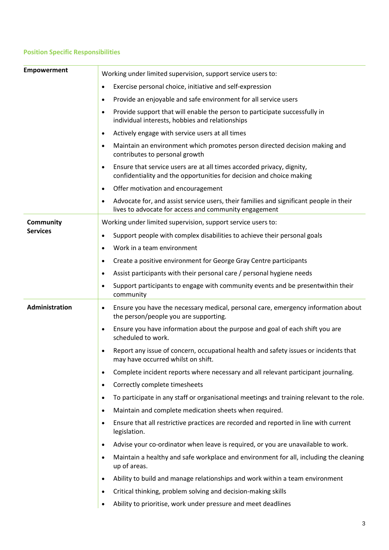# **Position Specific Responsibilities**

| <b>Empowerment</b>           | Working under limited supervision, support service users to:                                                                                                 |
|------------------------------|--------------------------------------------------------------------------------------------------------------------------------------------------------------|
|                              | Exercise personal choice, initiative and self-expression<br>$\bullet$                                                                                        |
|                              | Provide an enjoyable and safe environment for all service users<br>$\bullet$                                                                                 |
|                              | Provide support that will enable the person to participate successfully in<br>$\bullet$<br>individual interests, hobbies and relationships                   |
|                              | Actively engage with service users at all times<br>$\bullet$                                                                                                 |
|                              | Maintain an environment which promotes person directed decision making and<br>$\bullet$<br>contributes to personal growth                                    |
|                              | Ensure that service users are at all times accorded privacy, dignity,<br>$\bullet$<br>confidentiality and the opportunities for decision and choice making   |
|                              | Offer motivation and encouragement<br>$\bullet$                                                                                                              |
|                              | Advocate for, and assist service users, their families and significant people in their<br>$\bullet$<br>lives to advocate for access and community engagement |
| Community<br><b>Services</b> | Working under limited supervision, support service users to:                                                                                                 |
|                              | Support people with complex disabilities to achieve their personal goals<br>$\bullet$                                                                        |
|                              | Work in a team environment<br>$\bullet$                                                                                                                      |
|                              | Create a positive environment for George Gray Centre participants<br>$\bullet$                                                                               |
|                              | Assist participants with their personal care / personal hygiene needs<br>$\bullet$                                                                           |
|                              | Support participants to engage with community events and be presentwithin their<br>$\bullet$<br>community                                                    |
| Administration               | Ensure you have the necessary medical, personal care, emergency information about<br>$\bullet$<br>the person/people you are supporting.                      |
|                              | Ensure you have information about the purpose and goal of each shift you are<br>٠<br>scheduled to work.                                                      |
|                              | Report any issue of concern, occupational health and safety issues or incidents that<br>$\bullet$<br>may have occurred whilst on shift.                      |
|                              | Complete incident reports where necessary and all relevant participant journaling.<br>$\bullet$                                                              |
|                              | Correctly complete timesheets<br>$\bullet$                                                                                                                   |
|                              | To participate in any staff or organisational meetings and training relevant to the role.<br>$\bullet$                                                       |
|                              | Maintain and complete medication sheets when required.<br>$\bullet$                                                                                          |
|                              | Ensure that all restrictive practices are recorded and reported in line with current<br>$\bullet$<br>legislation.                                            |
|                              | Advise your co-ordinator when leave is required, or you are unavailable to work.<br>$\bullet$                                                                |
|                              | Maintain a healthy and safe workplace and environment for all, including the cleaning<br>$\bullet$<br>up of areas.                                           |
|                              | Ability to build and manage relationships and work within a team environment<br>$\bullet$                                                                    |
|                              | Critical thinking, problem solving and decision-making skills<br>$\bullet$                                                                                   |
|                              | Ability to prioritise, work under pressure and meet deadlines<br>$\bullet$                                                                                   |
|                              |                                                                                                                                                              |